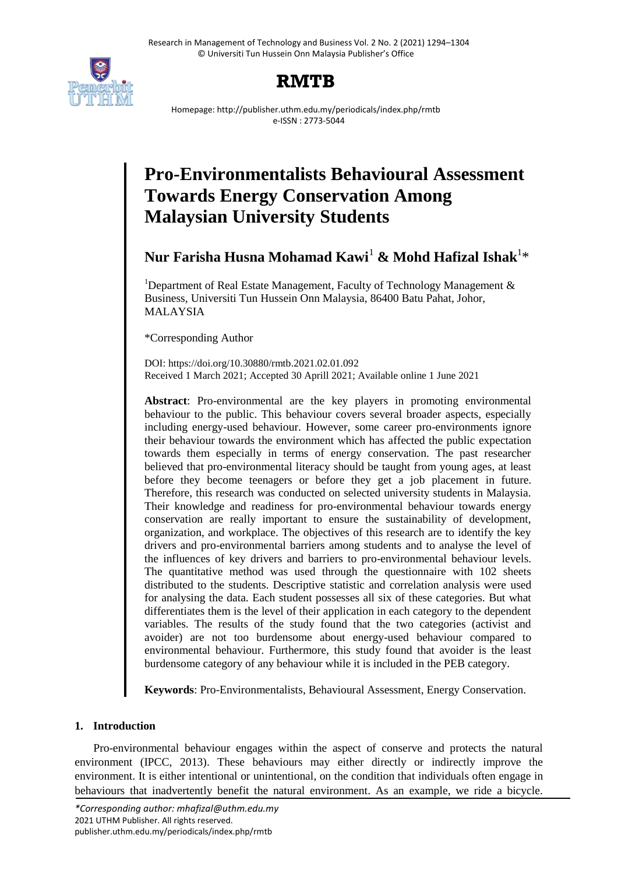



Homepage: http://publisher.uthm.edu.my/periodicals/index.php/rmtb e-ISSN : 2773-5044

# **Pro-Environmentalists Behavioural Assessment Towards Energy Conservation Among Malaysian University Students**

## **Nur Farisha Husna Mohamad Kawi**<sup>1</sup> **& Mohd Hafizal Ishak**<sup>1</sup> \*

<sup>1</sup>Department of Real Estate Management, Faculty of Technology Management  $\&$ Business, Universiti Tun Hussein Onn Malaysia, 86400 Batu Pahat, Johor, MALAYSIA

\*Corresponding Author

DOI: https://doi.org/10.30880/rmtb.2021.02.01.092 Received 1 March 2021; Accepted 30 Aprill 2021; Available online 1 June 2021

**Abstract**: Pro-environmental are the key players in promoting environmental behaviour to the public. This behaviour covers several broader aspects, especially including energy-used behaviour. However, some career pro-environments ignore their behaviour towards the environment which has affected the public expectation towards them especially in terms of energy conservation. The past researcher believed that pro-environmental literacy should be taught from young ages, at least before they become teenagers or before they get a job placement in future. Therefore, this research was conducted on selected university students in Malaysia. Their knowledge and readiness for pro-environmental behaviour towards energy conservation are really important to ensure the sustainability of development, organization, and workplace. The objectives of this research are to identify the key drivers and pro-environmental barriers among students and to analyse the level of the influences of key drivers and barriers to pro-environmental behaviour levels. The quantitative method was used through the questionnaire with 102 sheets distributed to the students. Descriptive statistic and correlation analysis were used for analysing the data. Each student possesses all six of these categories. But what differentiates them is the level of their application in each category to the dependent variables. The results of the study found that the two categories (activist and avoider) are not too burdensome about energy-used behaviour compared to environmental behaviour. Furthermore, this study found that avoider is the least burdensome category of any behaviour while it is included in the PEB category.

**Keywords**: Pro-Environmentalists, Behavioural Assessment, Energy Conservation.

### **1. Introduction**

Pro-environmental behaviour engages within the aspect of conserve and protects the natural environment (IPCC, 2013). These behaviours may either directly or indirectly improve the environment. It is either intentional or unintentional, on the condition that individuals often engage in behaviours that inadvertently benefit the natural environment. As an example, we ride a bicycle.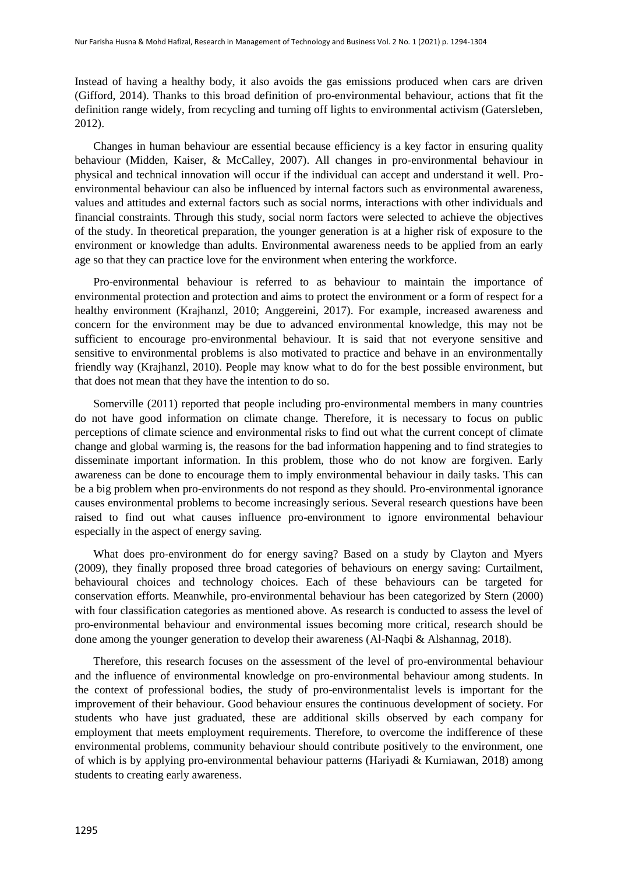Instead of having a healthy body, it also avoids the gas emissions produced when cars are driven (Gifford, 2014). Thanks to this broad definition of pro-environmental behaviour, actions that fit the definition range widely, from recycling and turning off lights to environmental activism (Gatersleben, 2012).

Changes in human behaviour are essential because efficiency is a key factor in ensuring quality behaviour (Midden, Kaiser, & McCalley, 2007). All changes in pro-environmental behaviour in physical and technical innovation will occur if the individual can accept and understand it well. Proenvironmental behaviour can also be influenced by internal factors such as environmental awareness, values and attitudes and external factors such as social norms, interactions with other individuals and financial constraints. Through this study, social norm factors were selected to achieve the objectives of the study. In theoretical preparation, the younger generation is at a higher risk of exposure to the environment or knowledge than adults. Environmental awareness needs to be applied from an early age so that they can practice love for the environment when entering the workforce.

Pro-environmental behaviour is referred to as behaviour to maintain the importance of environmental protection and protection and aims to protect the environment or a form of respect for a healthy environment (Krajhanzl, 2010; Anggereini, 2017). For example, increased awareness and concern for the environment may be due to advanced environmental knowledge, this may not be sufficient to encourage pro-environmental behaviour. It is said that not everyone sensitive and sensitive to environmental problems is also motivated to practice and behave in an environmentally friendly way (Krajhanzl, 2010). People may know what to do for the best possible environment, but that does not mean that they have the intention to do so.

Somerville (2011) reported that people including pro-environmental members in many countries do not have good information on climate change. Therefore, it is necessary to focus on public perceptions of climate science and environmental risks to find out what the current concept of climate change and global warming is, the reasons for the bad information happening and to find strategies to disseminate important information. In this problem, those who do not know are forgiven. Early awareness can be done to encourage them to imply environmental behaviour in daily tasks. This can be a big problem when pro-environments do not respond as they should. Pro-environmental ignorance causes environmental problems to become increasingly serious. Several research questions have been raised to find out what causes influence pro-environment to ignore environmental behaviour especially in the aspect of energy saving.

What does pro-environment do for energy saving? Based on a study by Clayton and Myers (2009), they finally proposed three broad categories of behaviours on energy saving: Curtailment, behavioural choices and technology choices. Each of these behaviours can be targeted for conservation efforts. Meanwhile, pro-environmental behaviour has been categorized by Stern (2000) with four classification categories as mentioned above. As research is conducted to assess the level of pro-environmental behaviour and environmental issues becoming more critical, research should be done among the younger generation to develop their awareness (Al-Naqbi & Alshannag, 2018).

Therefore, this research focuses on the assessment of the level of pro-environmental behaviour and the influence of environmental knowledge on pro-environmental behaviour among students. In the context of professional bodies, the study of pro-environmentalist levels is important for the improvement of their behaviour. Good behaviour ensures the continuous development of society. For students who have just graduated, these are additional skills observed by each company for employment that meets employment requirements. Therefore, to overcome the indifference of these environmental problems, community behaviour should contribute positively to the environment, one of which is by applying pro-environmental behaviour patterns (Hariyadi & Kurniawan, 2018) among students to creating early awareness.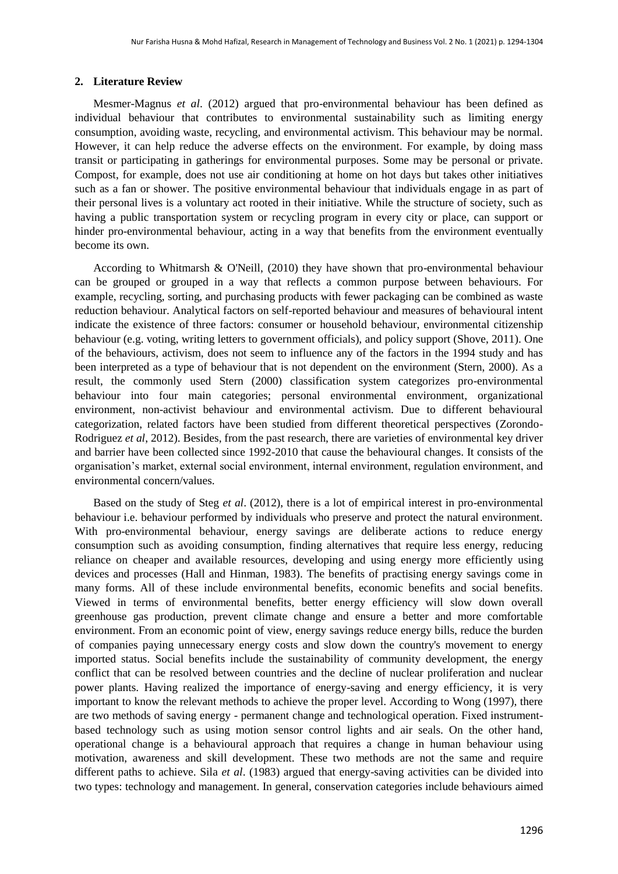#### **2. Literature Review**

Mesmer-Magnus *et al*. (2012) argued that pro-environmental behaviour has been defined as individual behaviour that contributes to environmental sustainability such as limiting energy consumption, avoiding waste, recycling, and environmental activism. This behaviour may be normal. However, it can help reduce the adverse effects on the environment. For example, by doing mass transit or participating in gatherings for environmental purposes. Some may be personal or private. Compost, for example, does not use air conditioning at home on hot days but takes other initiatives such as a fan or shower. The positive environmental behaviour that individuals engage in as part of their personal lives is a voluntary act rooted in their initiative. While the structure of society, such as having a public transportation system or recycling program in every city or place, can support or hinder pro-environmental behaviour, acting in a way that benefits from the environment eventually become its own.

According to Whitmarsh & O'Neill, (2010) they have shown that pro-environmental behaviour can be grouped or grouped in a way that reflects a common purpose between behaviours. For example, recycling, sorting, and purchasing products with fewer packaging can be combined as waste reduction behaviour. Analytical factors on self-reported behaviour and measures of behavioural intent indicate the existence of three factors: consumer or household behaviour, environmental citizenship behaviour (e.g. voting, writing letters to government officials), and policy support (Shove, 2011). One of the behaviours, activism, does not seem to influence any of the factors in the 1994 study and has been interpreted as a type of behaviour that is not dependent on the environment (Stern, 2000). As a result, the commonly used Stern (2000) classification system categorizes pro-environmental behaviour into four main categories; personal environmental environment, organizational environment, non-activist behaviour and environmental activism. Due to different behavioural categorization, related factors have been studied from different theoretical perspectives (Zorondo-Rodriguez *et al*, 2012). Besides, from the past research, there are varieties of environmental key driver and barrier have been collected since 1992-2010 that cause the behavioural changes. It consists of the organisation's market, external social environment, internal environment, regulation environment, and environmental concern/values.

Based on the study of Steg *et al*. (2012), there is a lot of empirical interest in pro-environmental behaviour i.e. behaviour performed by individuals who preserve and protect the natural environment. With pro-environmental behaviour, energy savings are deliberate actions to reduce energy consumption such as avoiding consumption, finding alternatives that require less energy, reducing reliance on cheaper and available resources, developing and using energy more efficiently using devices and processes (Hall and Hinman, 1983). The benefits of practising energy savings come in many forms. All of these include environmental benefits, economic benefits and social benefits. Viewed in terms of environmental benefits, better energy efficiency will slow down overall greenhouse gas production, prevent climate change and ensure a better and more comfortable environment. From an economic point of view, energy savings reduce energy bills, reduce the burden of companies paying unnecessary energy costs and slow down the country's movement to energy imported status. Social benefits include the sustainability of community development, the energy conflict that can be resolved between countries and the decline of nuclear proliferation and nuclear power plants. Having realized the importance of energy-saving and energy efficiency, it is very important to know the relevant methods to achieve the proper level. According to Wong (1997), there are two methods of saving energy - permanent change and technological operation. Fixed instrumentbased technology such as using motion sensor control lights and air seals. On the other hand, operational change is a behavioural approach that requires a change in human behaviour using motivation, awareness and skill development. These two methods are not the same and require different paths to achieve. Sila *et al*. (1983) argued that energy-saving activities can be divided into two types: technology and management. In general, conservation categories include behaviours aimed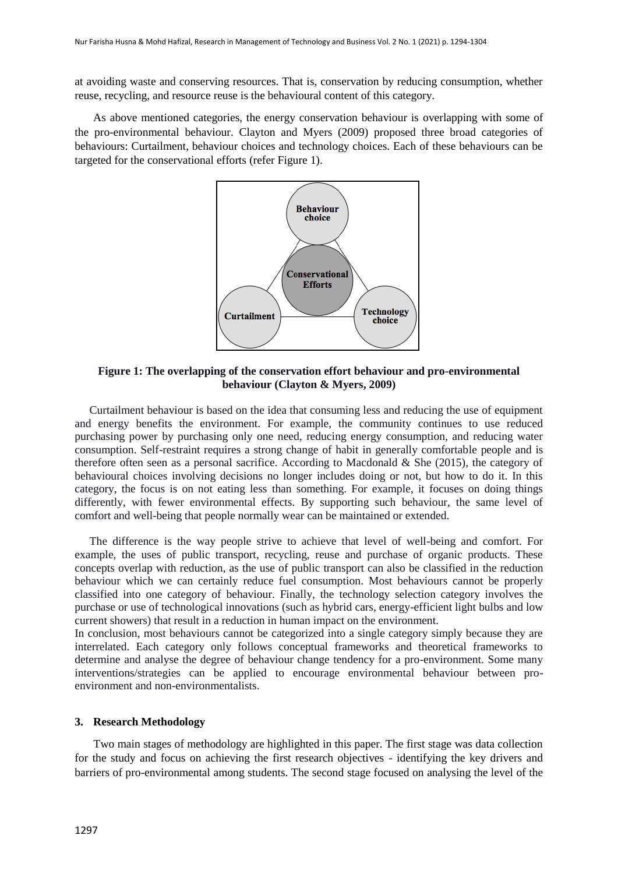at avoiding waste and conserving resources. That is, conservation by reducing consumption, whether reuse, recycling, and resource reuse is the behavioural content of this category.

As above mentioned categories, the energy conservation behaviour is overlapping with some of the pro-environmental behaviour. Clayton and Myers (2009) proposed three broad categories of behaviours: Curtailment, behaviour choices and technology choices. Each of these behaviours can be targeted for the conservational efforts (refer Figure 1).



**Figure 1: The overlapping of the conservation effort behaviour and pro-environmental behaviour (Clayton & Myers, 2009)**

Curtailment behaviour is based on the idea that consuming less and reducing the use of equipment and energy benefits the environment. For example, the community continues to use reduced purchasing power by purchasing only one need, reducing energy consumption, and reducing water consumption. Self-restraint requires a strong change of habit in generally comfortable people and is therefore often seen as a personal sacrifice. According to Macdonald & She (2015), the category of behavioural choices involving decisions no longer includes doing or not, but how to do it. In this category, the focus is on not eating less than something. For example, it focuses on doing things differently, with fewer environmental effects. By supporting such behaviour, the same level of comfort and well-being that people normally wear can be maintained or extended.

The difference is the way people strive to achieve that level of well-being and comfort. For example, the uses of public transport, recycling, reuse and purchase of organic products. These concepts overlap with reduction, as the use of public transport can also be classified in the reduction behaviour which we can certainly reduce fuel consumption. Most behaviours cannot be properly classified into one category of behaviour. Finally, the technology selection category involves the purchase or use of technological innovations (such as hybrid cars, energy-efficient light bulbs and low current showers) that result in a reduction in human impact on the environment.

In conclusion, most behaviours cannot be categorized into a single category simply because they are interrelated. Each category only follows conceptual frameworks and theoretical frameworks to determine and analyse the degree of behaviour change tendency for a pro-environment. Some many interventions/strategies can be applied to encourage environmental behaviour between proenvironment and non-environmentalists.

#### **3. Research Methodology**

Two main stages of methodology are highlighted in this paper. The first stage was data collection for the study and focus on achieving the first research objectives - identifying the key drivers and barriers of pro-environmental among students. The second stage focused on analysing the level of the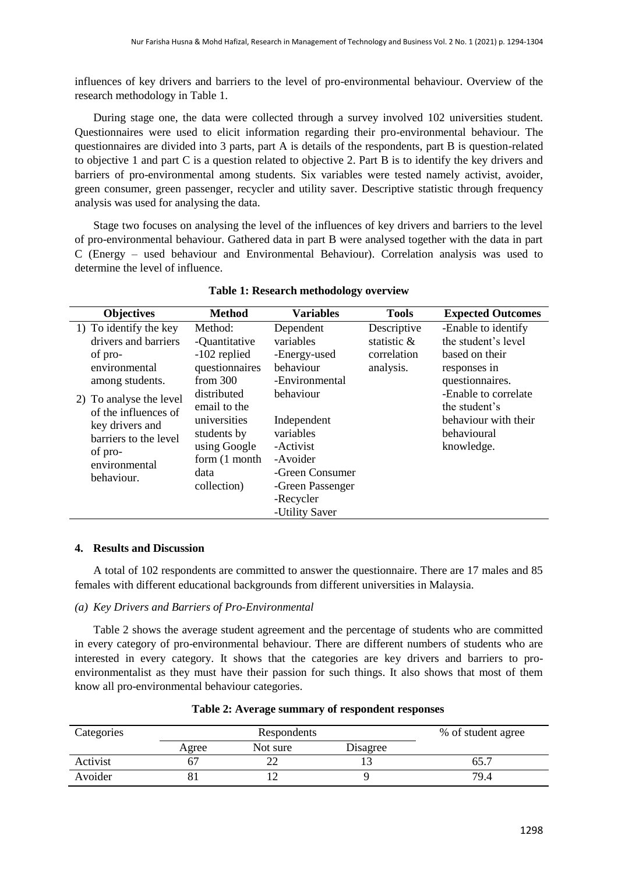influences of key drivers and barriers to the level of pro-environmental behaviour. Overview of the research methodology in Table 1.

During stage one, the data were collected through a survey involved 102 universities student. Questionnaires were used to elicit information regarding their pro-environmental behaviour. The questionnaires are divided into 3 parts, part A is details of the respondents, part B is question-related to objective 1 and part C is a question related to objective 2. Part B is to identify the key drivers and barriers of pro-environmental among students. Six variables were tested namely activist, avoider, green consumer, green passenger, recycler and utility saver. Descriptive statistic through frequency analysis was used for analysing the data.

Stage two focuses on analysing the level of the influences of key drivers and barriers to the level of pro-environmental behaviour. Gathered data in part B were analysed together with the data in part C (Energy – used behaviour and Environmental Behaviour). Correlation analysis was used to determine the level of influence.

| <b>Objectives</b>                                                                                                                                                                                                                      | <b>Method</b>                                                                                                                                                                                  | <b>Variables</b>                                                                                                                                                                            | <b>Tools</b>                                           | <b>Expected Outcomes</b>                                                                                                                                                                      |
|----------------------------------------------------------------------------------------------------------------------------------------------------------------------------------------------------------------------------------------|------------------------------------------------------------------------------------------------------------------------------------------------------------------------------------------------|---------------------------------------------------------------------------------------------------------------------------------------------------------------------------------------------|--------------------------------------------------------|-----------------------------------------------------------------------------------------------------------------------------------------------------------------------------------------------|
| 1) To identify the key<br>drivers and barriers<br>of pro-<br>environmental<br>among students.<br>2) To analyse the level<br>of the influences of<br>key drivers and<br>barriers to the level<br>of pro-<br>environmental<br>behaviour. | Method:<br>-Quantitative<br>-102 replied<br>questionnaires<br>from $300$<br>distributed<br>email to the<br>universities<br>students by<br>using Google<br>form (1 month<br>data<br>collection) | Dependent<br>variables<br>-Energy-used<br>behaviour<br>-Environmental<br>behaviour<br>Independent<br>variables<br>-Activist<br>-Avoider<br>-Green Consumer<br>-Green Passenger<br>-Recycler | Descriptive<br>statistic &<br>correlation<br>analysis. | -Enable to identify<br>the student's level<br>based on their<br>responses in<br>questionnaires.<br>-Enable to correlate<br>the student's<br>behaviour with their<br>behavioural<br>knowledge. |
|                                                                                                                                                                                                                                        |                                                                                                                                                                                                | -Utility Saver                                                                                                                                                                              |                                                        |                                                                                                                                                                                               |

#### **Table 1: Research methodology overview**

#### **4. Results and Discussion**

A total of 102 respondents are committed to answer the questionnaire. There are 17 males and 85 females with different educational backgrounds from different universities in Malaysia.

#### *(a) Key Drivers and Barriers of Pro-Environmental*

Table 2 shows the average student agreement and the percentage of students who are committed in every category of pro-environmental behaviour. There are different numbers of students who are interested in every category. It shows that the categories are key drivers and barriers to proenvironmentalist as they must have their passion for such things. It also shows that most of them know all pro-environmental behaviour categories.

| Categories | Respondents |          |          | % of student agree |
|------------|-------------|----------|----------|--------------------|
|            | Agree       | Not sure | Disagree |                    |
| Activist   |             |          |          | 65.                |
| Avoider    |             |          |          | 79.4               |

#### **Table 2: Average summary of respondent responses**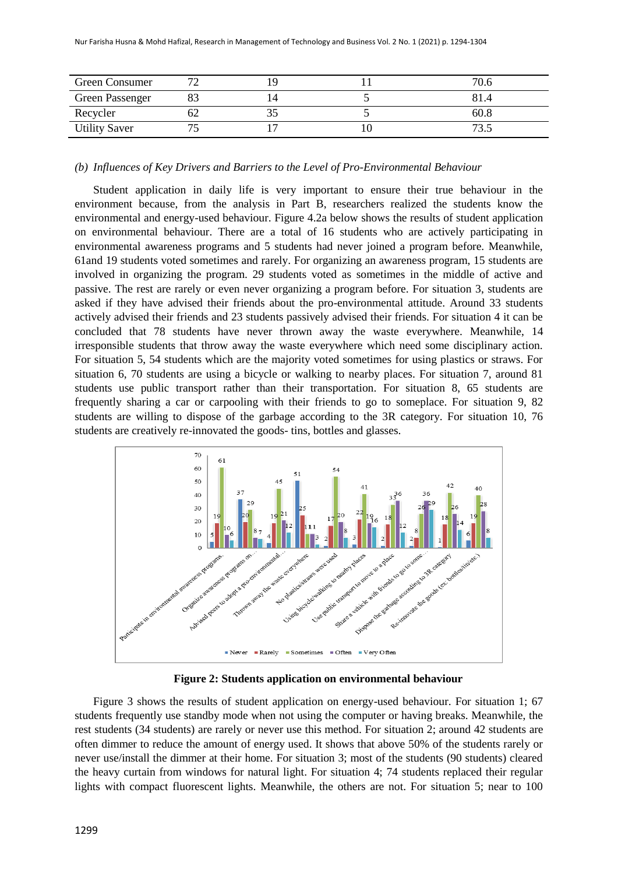| Green Consumer       |  |    | 70.6   |
|----------------------|--|----|--------|
| Green Passenger      |  |    | 81.4   |
| Recycler             |  |    | 60.8   |
| <b>Utility Saver</b> |  | ΙU | $\sim$ |

#### *(b) Influences of Key Drivers and Barriers to the Level of Pro-Environmental Behaviour*

Student application in daily life is very important to ensure their true behaviour in the environment because, from the analysis in Part B, researchers realized the students know the environmental and energy-used behaviour. Figure 4.2a below shows the results of student application on environmental behaviour. There are a total of 16 students who are actively participating in environmental awareness programs and 5 students had never joined a program before. Meanwhile, 61and 19 students voted sometimes and rarely. For organizing an awareness program, 15 students are involved in organizing the program. 29 students voted as sometimes in the middle of active and passive. The rest are rarely or even never organizing a program before. For situation 3, students are asked if they have advised their friends about the pro-environmental attitude. Around 33 students actively advised their friends and 23 students passively advised their friends. For situation 4 it can be concluded that 78 students have never thrown away the waste everywhere. Meanwhile, 14 irresponsible students that throw away the waste everywhere which need some disciplinary action. For situation 5, 54 students which are the majority voted sometimes for using plastics or straws. For situation 6, 70 students are using a bicycle or walking to nearby places. For situation 7, around 81 students use public transport rather than their transportation. For situation 8, 65 students are frequently sharing a car or carpooling with their friends to go to someplace. For situation 9, 82 students are willing to dispose of the garbage according to the 3R category. For situation 10, 76 students are creatively re-innovated the goods- tins, bottles and glasses.



**Figure 2: Students application on environmental behaviour**

Figure 3 shows the results of student application on energy-used behaviour. For situation 1; 67 students frequently use standby mode when not using the computer or having breaks. Meanwhile, the rest students (34 students) are rarely or never use this method. For situation 2; around 42 students are often dimmer to reduce the amount of energy used. It shows that above 50% of the students rarely or never use/install the dimmer at their home. For situation 3; most of the students (90 students) cleared the heavy curtain from windows for natural light. For situation 4; 74 students replaced their regular lights with compact fluorescent lights. Meanwhile, the others are not. For situation 5; near to 100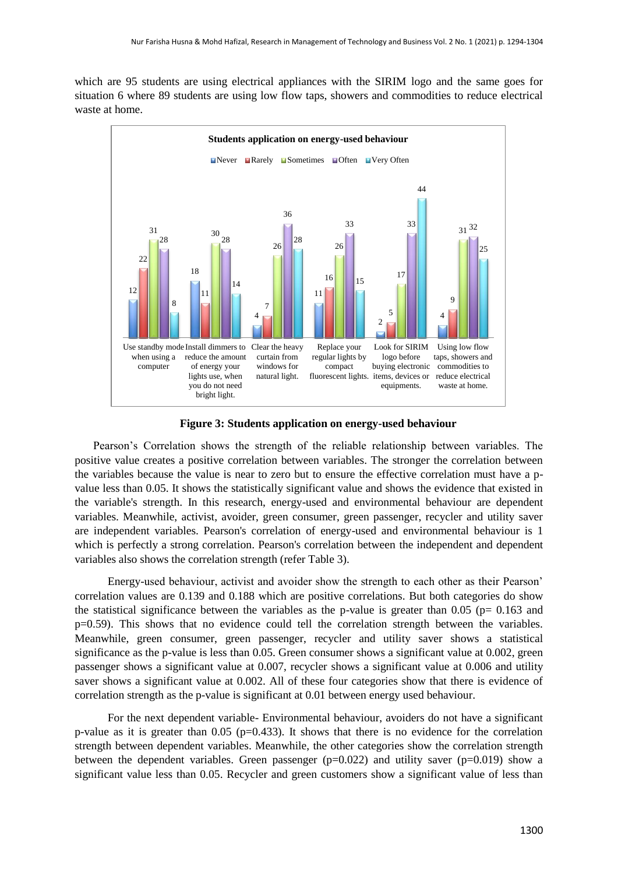which are 95 students are using electrical appliances with the SIRIM logo and the same goes for situation 6 where 89 students are using low flow taps, showers and commodities to reduce electrical waste at home.



**Figure 3: Students application on energy-used behaviour**

Pearson's Correlation shows the strength of the reliable relationship between variables. The positive value creates a positive correlation between variables. The stronger the correlation between the variables because the value is near to zero but to ensure the effective correlation must have a pvalue less than 0.05. It shows the statistically significant value and shows the evidence that existed in the variable's strength. In this research, energy-used and environmental behaviour are dependent variables. Meanwhile, activist, avoider, green consumer, green passenger, recycler and utility saver are independent variables. Pearson's correlation of energy-used and environmental behaviour is 1 which is perfectly a strong correlation. Pearson's correlation between the independent and dependent variables also shows the correlation strength (refer Table 3).

 Energy-used behaviour, activist and avoider show the strength to each other as their Pearson' correlation values are 0.139 and 0.188 which are positive correlations. But both categories do show the statistical significance between the variables as the p-value is greater than 0.05 ( $p= 0.163$  and p=0.59). This shows that no evidence could tell the correlation strength between the variables. Meanwhile, green consumer, green passenger, recycler and utility saver shows a statistical significance as the p-value is less than 0.05. Green consumer shows a significant value at 0.002, green passenger shows a significant value at 0.007, recycler shows a significant value at 0.006 and utility saver shows a significant value at 0.002. All of these four categories show that there is evidence of correlation strength as the p-value is significant at 0.01 between energy used behaviour.

 For the next dependent variable- Environmental behaviour, avoiders do not have a significant p-value as it is greater than 0.05 (p=0.433). It shows that there is no evidence for the correlation strength between dependent variables. Meanwhile, the other categories show the correlation strength between the dependent variables. Green passenger ( $p=0.022$ ) and utility saver ( $p=0.019$ ) show a significant value less than 0.05. Recycler and green customers show a significant value of less than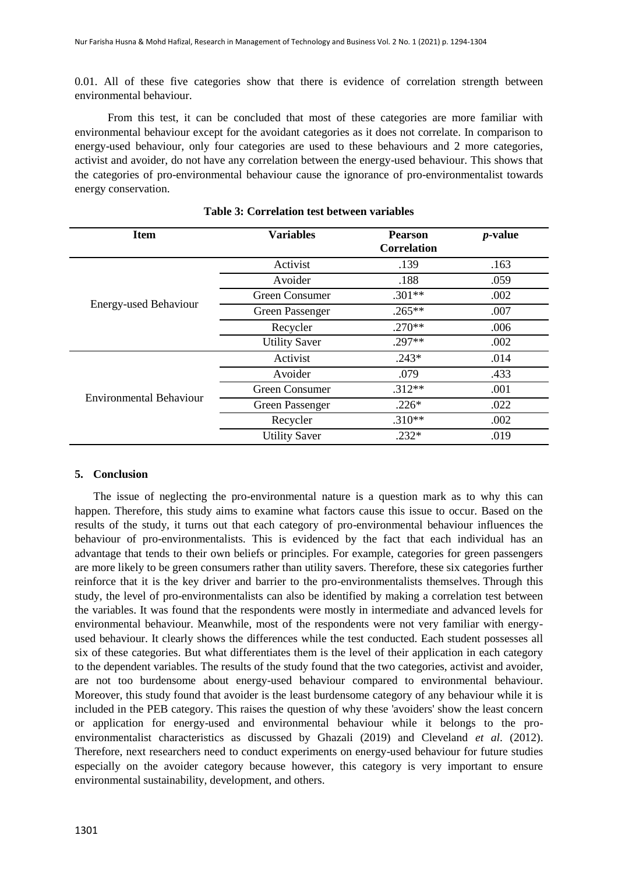0.01. All of these five categories show that there is evidence of correlation strength between environmental behaviour.

 From this test, it can be concluded that most of these categories are more familiar with environmental behaviour except for the avoidant categories as it does not correlate. In comparison to energy-used behaviour, only four categories are used to these behaviours and 2 more categories, activist and avoider, do not have any correlation between the energy-used behaviour. This shows that the categories of pro-environmental behaviour cause the ignorance of pro-environmentalist towards energy conservation.

| <b>Item</b>                  | <b>Variables</b>     | <b>Pearson</b><br><b>Correlation</b> | $p$ -value |
|------------------------------|----------------------|--------------------------------------|------------|
|                              | Activist             | .139                                 | .163       |
|                              | Avoider              | .188                                 | .059       |
|                              | Green Consumer       | $.301**$                             | .002       |
| <b>Energy-used Behaviour</b> | Green Passenger      | $.265***$                            | .007       |
|                              | Recycler             | $.270**$                             | .006       |
|                              | <b>Utility Saver</b> | $.297**$                             | .002       |
|                              | Activist             | $.243*$                              | .014       |
|                              | Avoider              | .079                                 | .433       |
| Environmental Behaviour      | Green Consumer       | $.312**$                             | .001       |
|                              | Green Passenger      | $.226*$                              | .022       |
|                              | Recycler             | $.310**$                             | .002       |
|                              | <b>Utility Saver</b> | $.232*$                              | .019       |

#### **Table 3: Correlation test between variables**

#### **5. Conclusion**

The issue of neglecting the pro-environmental nature is a question mark as to why this can happen. Therefore, this study aims to examine what factors cause this issue to occur. Based on the results of the study, it turns out that each category of pro-environmental behaviour influences the behaviour of pro-environmentalists. This is evidenced by the fact that each individual has an advantage that tends to their own beliefs or principles. For example, categories for green passengers are more likely to be green consumers rather than utility savers. Therefore, these six categories further reinforce that it is the key driver and barrier to the pro-environmentalists themselves. Through this study, the level of pro-environmentalists can also be identified by making a correlation test between the variables. It was found that the respondents were mostly in intermediate and advanced levels for environmental behaviour. Meanwhile, most of the respondents were not very familiar with energyused behaviour. It clearly shows the differences while the test conducted. Each student possesses all six of these categories. But what differentiates them is the level of their application in each category to the dependent variables. The results of the study found that the two categories, activist and avoider, are not too burdensome about energy-used behaviour compared to environmental behaviour. Moreover, this study found that avoider is the least burdensome category of any behaviour while it is included in the PEB category. This raises the question of why these 'avoiders' show the least concern or application for energy-used and environmental behaviour while it belongs to the proenvironmentalist characteristics as discussed by Ghazali (2019) and Cleveland *et al*. (2012). Therefore, next researchers need to conduct experiments on energy-used behaviour for future studies especially on the avoider category because however, this category is very important to ensure environmental sustainability, development, and others.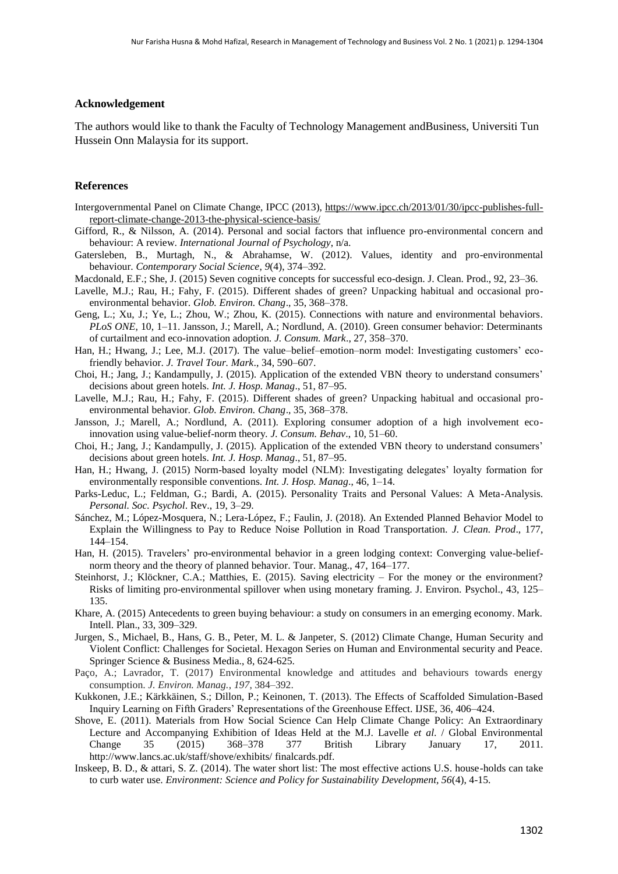#### **Acknowledgement**

The authors would like to thank the Faculty of Technology Management andBusiness, Universiti Tun Hussein Onn Malaysia for its support.

#### **References**

- Intergovernmental Panel on Climate Change, IPCC (2013), https://www.ipcc.ch/2013/01/30/ipcc-publishes-fullreport-climate-change-2013-the-physical-science-basis/
- Gifford, R., & Nilsson, A. (2014). Personal and social factors that influence pro-environmental concern and behaviour: A review. *International Journal of Psychology*, n/a.
- Gatersleben, B., Murtagh, N., & Abrahamse, W. (2012). Values, identity and pro-environmental behaviour. *Contemporary Social Science*, *9*(4), 374–392.
- Macdonald, E.F.; She, J. (2015) Seven cognitive concepts for successful eco-design. J. Clean. Prod., 92, 23–36.
- Lavelle, M.J.; Rau, H.; Fahy, F. (2015). Different shades of green? Unpacking habitual and occasional proenvironmental behavior. *Glob. Environ. Chang*., 35, 368–378.
- Geng, L.; Xu, J.; Ye, L.; Zhou, W.; Zhou, K. (2015). Connections with nature and environmental behaviors*. PLoS ONE*, 10, 1–11. Jansson, J.; Marell, A.; Nordlund, A. (2010). Green consumer behavior: Determinants of curtailment and eco-innovation adoption*. J. Consum. Mark*., 27, 358–370.
- Han, H.; Hwang, J.; Lee, M.J. (2017). The value–belief–emotion–norm model: Investigating customers' ecofriendly behavior. *J. Travel Tour. Mark*., 34, 590–607.
- Choi, H.; Jang, J.; Kandampully, J. (2015). Application of the extended VBN theory to understand consumers' decisions about green hotels. *Int. J. Hosp. Manag*., 51, 87–95.
- Lavelle, M.J.; Rau, H.; Fahy, F. (2015). Different shades of green? Unpacking habitual and occasional proenvironmental behavior*. Glob. Environ. Chang*., 35, 368–378.
- Jansson, J.; Marell, A.; Nordlund, A. (2011). Exploring consumer adoption of a high involvement ecoinnovation using value-belief-norm theory*. J. Consum. Behav*., 10, 51–60.
- Choi, H.; Jang, J.; Kandampully, J. (2015). Application of the extended VBN theory to understand consumers' decisions about green hotels. *Int. J. Hosp. Manag*., 51, 87–95.
- Han, H.; Hwang, J. (2015) Norm-based loyalty model (NLM): Investigating delegates' loyalty formation for environmentally responsible conventions*. Int. J. Hosp. Manag*., 46, 1–14.
- Parks-Leduc, L.; Feldman, G.; Bardi, A. (2015). Personality Traits and Personal Values: A Meta-Analysis. *Personal. Soc. Psychol*. Rev., 19, 3–29.
- Sánchez, M.; López-Mosquera, N.; Lera-López, F.; Faulin, J. (2018). An Extended Planned Behavior Model to Explain the Willingness to Pay to Reduce Noise Pollution in Road Transportation*. J. Clean. Prod*., 177, 144–154.
- Han, H. (2015). Travelers' pro-environmental behavior in a green lodging context: Converging value-beliefnorm theory and the theory of planned behavior. Tour. Manag., 47, 164–177.
- Steinhorst, J.; Klöckner, C.A.; Matthies, E. (2015). Saving electricity For the money or the environment? Risks of limiting pro-environmental spillover when using monetary framing. J. Environ. Psychol., 43, 125– 135.
- Khare, A. (2015) Antecedents to green buying behaviour: a study on consumers in an emerging economy. Mark. Intell. Plan., 33, 309–329.
- Jurgen, S., Michael, B., Hans, G. B., Peter, M. L. & Janpeter, S. (2012) Climate Change, Human Security and Violent Conflict: Challenges for Societal. Hexagon Series on Human and Environmental security and Peace. Springer Science & Business Media., 8, 624-625.
- Paço, A.; Lavrador, T. (2017) Environmental knowledge and attitudes and behaviours towards energy consumption. *J. Environ. Manag.*, *197*, 384–392.
- Kukkonen, J.E.; Kärkkäinen, S.; Dillon, P.; Keinonen, T. (2013). The Effects of Scaffolded Simulation-Based Inquiry Learning on Fifth Graders' Representations of the Greenhouse Effect. IJSE, 36, 406–424.
- Shove, E. (2011). Materials from How Social Science Can Help Climate Change Policy: An Extraordinary Lecture and Accompanying Exhibition of Ideas Held at the M.J. Lavelle *et al*. / Global Environmental Change 35 (2015) 368–378 377 British Library January 17, 2011. http://www.lancs.ac.uk/staff/shove/exhibits/ finalcards.pdf.
- Inskeep, B. D., & attari, S. Z. (2014). The water short list: The most effective actions U.S. house-holds can take to curb water use. *Environment: Science and Policy for Sustainability Development, 56*(4), 4-15.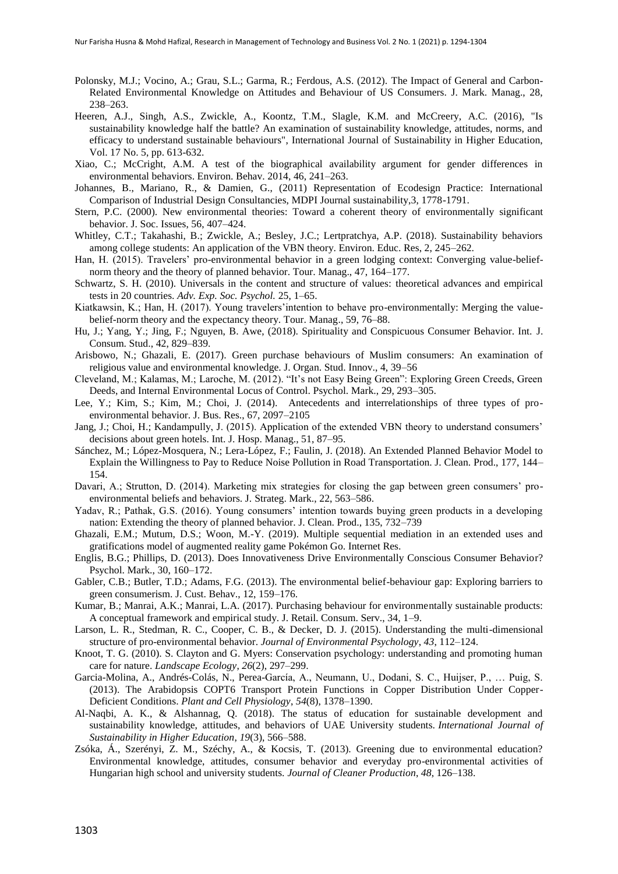- Polonsky, M.J.; Vocino, A.; Grau, S.L.; Garma, R.; Ferdous, A.S. (2012). The Impact of General and Carbon-Related Environmental Knowledge on Attitudes and Behaviour of US Consumers. J. Mark. Manag., 28, 238–263.
- Heeren, A.J., Singh, A.S., Zwickle, A., Koontz, T.M., Slagle, K.M. and McCreery, A.C. (2016), "Is sustainability knowledge half the battle? An examination of sustainability knowledge, attitudes, norms, and efficacy to understand sustainable behaviours", International Journal of Sustainability in Higher Education, Vol. 17 No. 5, pp. 613-632.
- Xiao, C.; McCright, A.M. A test of the biographical availability argument for gender differences in environmental behaviors. Environ. Behav. 2014, 46, 241–263.
- Johannes, B., Mariano, R., & Damien, G., (2011) Representation of Ecodesign Practice: International Comparison of Industrial Design Consultancies, MDPI Journal sustainability,3, 1778-1791.
- Stern, P.C. (2000). New environmental theories: Toward a coherent theory of environmentally significant behavior. J. Soc. Issues, 56, 407–424.
- Whitley, C.T.; Takahashi, B.; Zwickle, A.; Besley, J.C.; Lertpratchya, A.P. (2018). Sustainability behaviors among college students: An application of the VBN theory. Environ. Educ. Res, 2, 245–262.
- Han, H. (2015). Travelers' pro-environmental behavior in a green lodging context: Converging value-beliefnorm theory and the theory of planned behavior. Tour. Manag., 47, 164–177.
- Schwartz, S. H. (2010). Universals in the content and structure of values: theoretical advances and empirical tests in 20 countries. *Adv. Exp. Soc. Psychol.* 25, 1–65.
- Kiatkawsin, K.; Han, H. (2017). Young travelers' intention to behave pro-environmentally: Merging the valuebelief-norm theory and the expectancy theory. Tour. Manag., 59, 76–88.
- Hu, J.; Yang, Y.; Jing, F.; Nguyen, B. Awe, (2018). Spirituality and Conspicuous Consumer Behavior. Int. J. Consum. Stud., 42, 829–839.
- Arisbowo, N.; Ghazali, E. (2017). Green purchase behaviours of Muslim consumers: An examination of religious value and environmental knowledge. J. Organ. Stud. Innov., 4, 39–56
- Cleveland, M.; Kalamas, M.; Laroche, M. (2012). "It's not Easy Being Green": Exploring Green Creeds, Green Deeds, and Internal Environmental Locus of Control. Psychol. Mark., 29, 293–305.
- Lee, Y.; Kim, S.; Kim, M.; Choi, J. (2014). Antecedents and interrelationships of three types of proenvironmental behavior. J. Bus. Res., 67, 2097–2105
- Jang, J.; Choi, H.; Kandampully, J. (2015). Application of the extended VBN theory to understand consumers' decisions about green hotels. Int. J. Hosp. Manag., 51, 87–95.
- Sánchez, M.; López-Mosquera, N.; Lera-López, F.; Faulin, J. (2018). An Extended Planned Behavior Model to Explain the Willingness to Pay to Reduce Noise Pollution in Road Transportation. J. Clean. Prod., 177, 144– 154.
- Davari, A.; Strutton, D. (2014). Marketing mix strategies for closing the gap between green consumers' proenvironmental beliefs and behaviors. J. Strateg. Mark., 22, 563–586.
- Yadav, R.; Pathak, G.S. (2016). Young consumers' intention towards buying green products in a developing nation: Extending the theory of planned behavior. J. Clean. Prod., 135, 732–739
- Ghazali, E.M.; Mutum, D.S.; Woon, M.-Y. (2019). Multiple sequential mediation in an extended uses and gratifications model of augmented reality game Pokémon Go. Internet Res.
- Englis, B.G.; Phillips, D. (2013). Does Innovativeness Drive Environmentally Conscious Consumer Behavior? Psychol. Mark., 30, 160–172.
- Gabler, C.B.; Butler, T.D.; Adams, F.G. (2013). The environmental belief-behaviour gap: Exploring barriers to green consumerism. J. Cust. Behav., 12, 159–176.
- Kumar, B.; Manrai, A.K.; Manrai, L.A. (2017). Purchasing behaviour for environmentally sustainable products: A conceptual framework and empirical study. J. Retail. Consum. Serv., 34, 1–9.
- Larson, L. R., Stedman, R. C., Cooper, C. B., & Decker, D. J. (2015). Understanding the multi-dimensional structure of pro-environmental behavior. *Journal of Environmental Psychology*, *43*, 112–124.
- Knoot, T. G. (2010). S. Clayton and G. Myers: Conservation psychology: understanding and promoting human care for nature. *Landscape Ecology*, *26*(2), 297–299.
- Garcia-Molina, A., Andrés-Colás, N., Perea-García, A., Neumann, U., Dodani, S. C., Huijser, P., … Puig, S. (2013). The Arabidopsis COPT6 Transport Protein Functions in Copper Distribution Under Copper-Deficient Conditions. *Plant and Cell Physiology*, *54*(8), 1378–1390.
- Al-Naqbi, A. K., & Alshannag, Q. (2018). The status of education for sustainable development and sustainability knowledge, attitudes, and behaviors of UAE University students. *International Journal of Sustainability in Higher Education*, *19*(3), 566–588.
- Zsóka, Á., Szerényi, Z. M., Széchy, A., & Kocsis, T. (2013). Greening due to environmental education? Environmental knowledge, attitudes, consumer behavior and everyday pro-environmental activities of Hungarian high school and university students. *Journal of Cleaner Production*, *48*, 126–138.